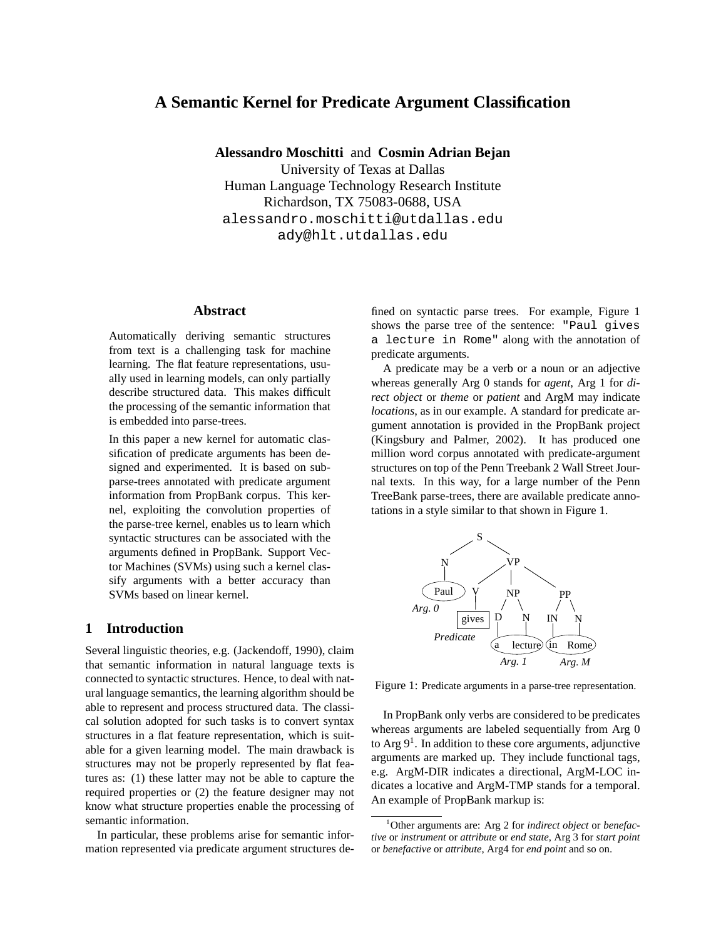# **A Semantic Kernel for Predicate Argument Classification**

**Alessandro Moschitti** and **Cosmin Adrian Bejan**

University of Texas at Dallas Human Language Technology Research Institute Richardson, TX 75083-0688, USA alessandro.moschitti@utdallas.edu ady@hlt.utdallas.edu

## **Abstract**

Automatically deriving semantic structures from text is a challenging task for machine learning. The flat feature representations, usually used in learning models, can only partially describe structured data. This makes difficult the processing of the semantic information that is embedded into parse-trees.

In this paper a new kernel for automatic classification of predicate arguments has been designed and experimented. It is based on subparse-trees annotated with predicate argument information from PropBank corpus. This kernel, exploiting the convolution properties of the parse-tree kernel, enables us to learn which syntactic structures can be associated with the arguments defined in PropBank. Support Vector Machines (SVMs) using such a kernel classify arguments with a better accuracy than SVMs based on linear kernel.

## **1 Introduction**

Several linguistic theories, e.g. (Jackendoff, 1990), claim that semantic information in natural language texts is connected to syntactic structures. Hence, to deal with natural language semantics, the learning algorithm should be able to represent and process structured data. The classical solution adopted for such tasks is to convert syntax structures in a flat feature representation, which is suitable for a given learning model. The main drawback is structures may not be properly represented by flat features as: (1) these latter may not be able to capture the required properties or (2) the feature designer may not know what structure properties enable the processing of semantic information.

In particular, these problems arise for semantic information represented via predicate argument structures defined on syntactic parse trees. For example, Figure 1 shows the parse tree of the sentence: "Paul gives a lecture in Rome" along with the annotation of predicate arguments.

A predicate may be a verb or a noun or an adjective whereas generally Arg 0 stands for *agent*, Arg 1 for *direct object* or *theme* or *patient* and ArgM may indicate *locations*, as in our example. A standard for predicate argument annotation is provided in the PropBank project (Kingsbury and Palmer, 2002). It has produced one million word corpus annotated with predicate-argument structures on top of the Penn Treebank 2 Wall Street Journal texts. In this way, for a large number of the Penn TreeBank parse-trees, there are available predicate annotations in a style similar to that shown in Figure 1.



Figure 1: Predicate arguments in a parse-tree representation.

In PropBank only verbs are considered to be predicates whereas arguments are labeled sequentially from Arg 0 to Arg  $9<sup>1</sup>$ . In addition to these core arguments, adjunctive arguments are marked up. They include functional tags, e.g. ArgM-DIR indicates a directional, ArgM-LOC indicates a locative and ArgM-TMP stands for a temporal. An example of PropBank markup is:

<sup>1</sup>Other arguments are: Arg 2 for *indirect object* or *benefactive* or *instrument* or *attribute* or *end state*, Arg 3 for *start point* or *benefactive* or *attribute*, Arg4 for *end point* and so on.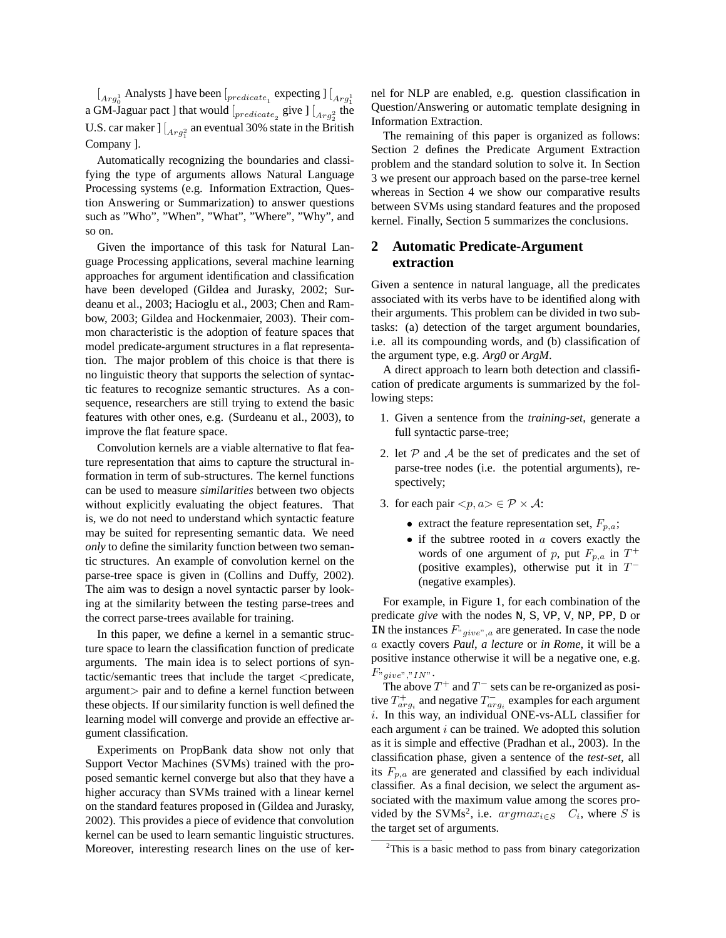$\left[{}_{Arg^1_0}$  Analysts ] have been  $\left[{}_{predicte_1}$  expecting  $\right] \left[{}_{Arg^1_1}\right]$ a GM-Jaguar pact ] that would  $\int_{predicte_2}$  give  $\int_{Arg_2^2}$  the U.S. car maker  $\int [A_{r}g_1^2]$  an eventual 30% state in the British Company ].

Automatically recognizing the boundaries and classifying the type of arguments allows Natural Language Processing systems (e.g. Information Extraction, Question Answering or Summarization) to answer questions such as "Who", "When", "What", "Where", "Why", and so on.

Given the importance of this task for Natural Language Processing applications, several machine learning approaches for argument identification and classification have been developed (Gildea and Jurasky, 2002; Surdeanu et al., 2003; Hacioglu et al., 2003; Chen and Rambow, 2003; Gildea and Hockenmaier, 2003). Their common characteristic is the adoption of feature spaces that model predicate-argument structures in a flat representation. The major problem of this choice is that there is no linguistic theory that supports the selection of syntactic features to recognize semantic structures. As a consequence, researchers are still trying to extend the basic features with other ones, e.g. (Surdeanu et al., 2003), to improve the flat feature space.

Convolution kernels are a viable alternative to flat feature representation that aims to capture the structural information in term of sub-structures. The kernel functions can be used to measure *similarities* between two objects without explicitly evaluating the object features. That is, we do not need to understand which syntactic feature may be suited for representing semantic data. We need *only* to define the similarity function between two semantic structures. An example of convolution kernel on the parse-tree space is given in (Collins and Duffy, 2002). The aim was to design a novel syntactic parser by looking at the similarity between the testing parse-trees and the correct parse-trees available for training.

In this paper, we define a kernel in a semantic structure space to learn the classification function of predicate arguments. The main idea is to select portions of syntactic/semantic trees that include the target <predicate, argument> pair and to define a kernel function between these objects. If our similarity function is well defined the learning model will converge and provide an effective argument classification.

Experiments on PropBank data show not only that Support Vector Machines (SVMs) trained with the proposed semantic kernel converge but also that they have a higher accuracy than SVMs trained with a linear kernel on the standard features proposed in (Gildea and Jurasky, 2002). This provides a piece of evidence that convolution kernel can be used to learn semantic linguistic structures. Moreover, interesting research lines on the use of kernel for NLP are enabled, e.g. question classification in Question/Answering or automatic template designing in Information Extraction.

The remaining of this paper is organized as follows: Section 2 defines the Predicate Argument Extraction problem and the standard solution to solve it. In Section 3 we present our approach based on the parse-tree kernel whereas in Section 4 we show our comparative results between SVMs using standard features and the proposed kernel. Finally, Section 5 summarizes the conclusions.

## **2 Automatic Predicate-Argument extraction**

Given a sentence in natural language, all the predicates associated with its verbs have to be identified along with their arguments. This problem can be divided in two subtasks: (a) detection of the target argument boundaries, i.e. all its compounding words, and (b) classification of the argument type, e.g. *Arg0* or *ArgM*.

A direct approach to learn both detection and classification of predicate arguments is summarized by the following steps:

- 1. Given a sentence from the *training-set*, generate a full syntactic parse-tree;
- 2. let  $P$  and  $A$  be the set of predicates and the set of parse-tree nodes (i.e. the potential arguments), respectively;
- 3. for each pair  $\langle p, a \rangle \in \mathcal{P} \times \mathcal{A}$ :
	- extract the feature representation set,  $F_{p,a}$ ;
	- $\bullet$  if the subtree rooted in  $\alpha$  covers exactly the words of one argument of p, put  $F_{p,q}$  in  $T^+$ (positive examples), otherwise put it in  $T^-$ (negative examples).

For example, in Figure 1, for each combination of the predicate *give* with the nodes N, S, VP, V, NP, PP, D or IN the instances  $F_{\text{cycle}}$ , are generated. In case the node a exactly covers *Paul*, *a lecture* or *in Rome*, it will be a positive instance otherwise it will be a negative one, e.g.  $F_{\text{view}}$ ",  $\eta_{\text{INV}}$ .

The above  $T^+$  and  $T^-$  sets can be re-organized as positive  $T_{arg_i}^+$  and negative  $T_{arg_i}^-$  examples for each argument i. In this way, an individual ONE-vs-ALL classifier for each argument  $i$  can be trained. We adopted this solution as it is simple and effective (Pradhan et al., 2003). In the classification phase, given a sentence of the *test-set*, all its  $F_{p,a}$  are generated and classified by each individual classifier. As a final decision, we select the argument associated with the maximum value among the scores provided by the SVMs<sup>2</sup>, i.e.  $argmax_{i \in S}$   $C_i$ , where S is the target set of arguments.

 $2$ This is a basic method to pass from binary categorization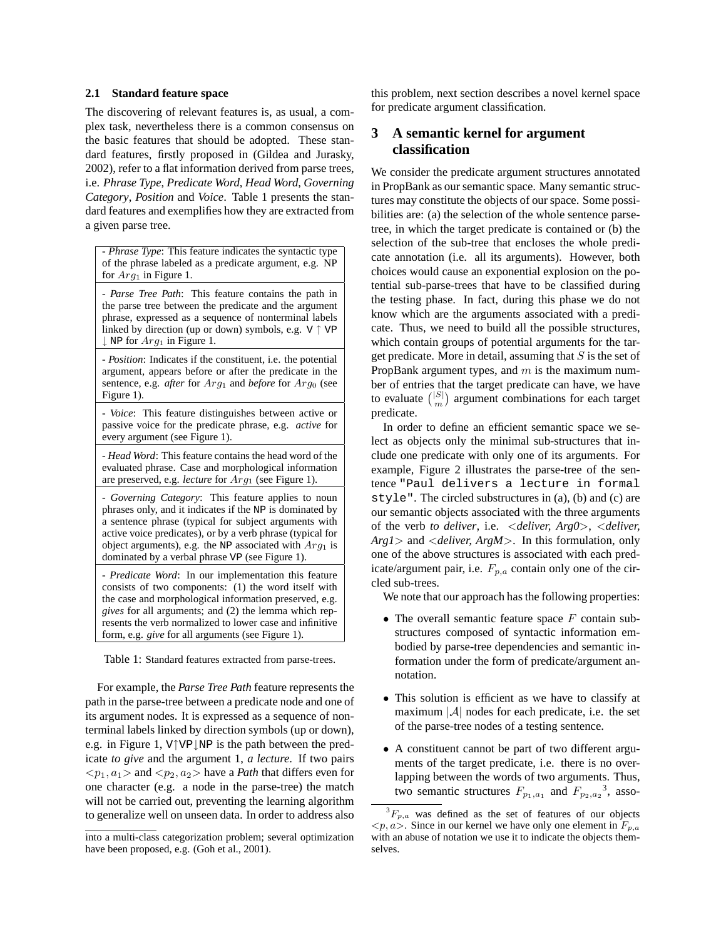#### **2.1 Standard feature space**

The discovering of relevant features is, as usual, a complex task, nevertheless there is a common consensus on the basic features that should be adopted. These standard features, firstly proposed in (Gildea and Jurasky, 2002), refer to a flat information derived from parse trees, i.e. *Phrase Type*, *Predicate Word*, *Head Word*, *Governing Category*, *Position* and *Voice*. Table 1 presents the standard features and exemplifies how they are extracted from a given parse tree.

- *Phrase Type*: This feature indicates the syntactic type of the phrase labeled as a predicate argument, e.g. NP for  $Arg_1$  in Figure 1.

- *Parse Tree Path*: This feature contains the path in the parse tree between the predicate and the argument phrase, expressed as a sequence of nonterminal labels linked by direction (up or down) symbols, e.g.  $V \uparrow VP$  $\downarrow$  NP for  $Arg_1$  in Figure 1.

- *Position*: Indicates if the constituent, i.e. the potential argument, appears before or after the predicate in the sentence, e.g. *after* for  $Arg_1$  and *before* for  $Arg_0$  (see Figure 1).

- *Voice*: This feature distinguishes between active or passive voice for the predicate phrase, e.g. *active* for every argument (see Figure 1).

- *Head Word*: This feature contains the head word of the evaluated phrase. Case and morphological information are preserved, e.g. *lecture* for  $Arg_1$  (see Figure 1).

- *Governing Category*: This feature applies to noun phrases only, and it indicates if the NP is dominated by a sentence phrase (typical for subject arguments with active voice predicates), or by a verb phrase (typical for object arguments), e.g. the NP associated with  $Arg_1$  is dominated by a verbal phrase VP (see Figure 1).

- *Predicate Word*: In our implementation this feature consists of two components: (1) the word itself with the case and morphological information preserved, e.g. *gives* for all arguments; and (2) the lemma which represents the verb normalized to lower case and infinitive form, e.g. *give* for all arguments (see Figure 1).

Table 1: Standard features extracted from parse-trees.

For example, the *Parse Tree Path* feature represents the path in the parse-tree between a predicate node and one of its argument nodes. It is expressed as a sequence of nonterminal labels linked by direction symbols (up or down), e.g. in Figure 1, V↑VP NP is the path between the predicate *to give* and the argument 1, *a lecture*. If two pairs  $\langle p_1, a_1 \rangle$  and  $\langle p_2, a_2 \rangle$  have a *Path* that differs even for one character (e.g. a node in the parse-tree) the match will not be carried out, preventing the learning algorithm to generalize well on unseen data. In order to address also this problem, next section describes a novel kernel space for predicate argument classification.

# **3 A semantic kernel for argument classification**

We consider the predicate argument structures annotated in PropBank as our semantic space. Many semantic structures may constitute the objects of our space. Some possibilities are: (a) the selection of the whole sentence parsetree, in which the target predicate is contained or (b) the selection of the sub-tree that encloses the whole predicate annotation (i.e. all its arguments). However, both choices would cause an exponential explosion on the potential sub-parse-trees that have to be classified during the testing phase. In fact, during this phase we do not know which are the arguments associated with a predicate. Thus, we need to build all the possible structures, which contain groups of potential arguments for the target predicate. More in detail, assuming that  $S$  is the set of PropBank argument types, and  $m$  is the maximum number of entries that the target predicate can have, we have ber of entries that the target predicate can have, we have<br>to evaluate  $\binom{|S|}{m}$  argument combinations for each target predicate.

In order to define an efficient semantic space we select as objects only the minimal sub-structures that include one predicate with only one of its arguments. For example, Figure 2 illustrates the parse-tree of the sentence "Paul delivers a lecture in formal style". The circled substructures in (a), (b) and (c) are our semantic objects associated with the three arguments of the verb *to deliver*, i.e. <*deliver, Arg0*>, <*deliver, Arg1*> and <*deliver, ArgM*>. In this formulation, only one of the above structures is associated with each predicate/argument pair, i.e.  $F_{p,a}$  contain only one of the circled sub-trees.

We note that our approach has the following properties:

- The overall semantic feature space  $F$  contain substructures composed of syntactic information embodied by parse-tree dependencies and semantic information under the form of predicate/argument annotation.
- This solution is efficient as we have to classify at maximum  $|\mathcal{A}|$  nodes for each predicate, i.e. the set of the parse-tree nodes of a testing sentence.
- A constituent cannot be part of two different arguments of the target predicate, i.e. there is no overlapping between the words of two arguments. Thus, two semantic structures  $F_{p_1,a_1}$  and  $F_{p_2,a_2}^3$ , asso-

into a multi-class categorization problem; several optimization have been proposed, e.g. (Goh et al., 2001).

 ${}^{3}F_{p,a}$  was defined as the set of features of our objects  $\langle p, a \rangle$ . Since in our kernel we have only one element in  $F_{p,a}$ with an abuse of notation we use it to indicate the objects themselves.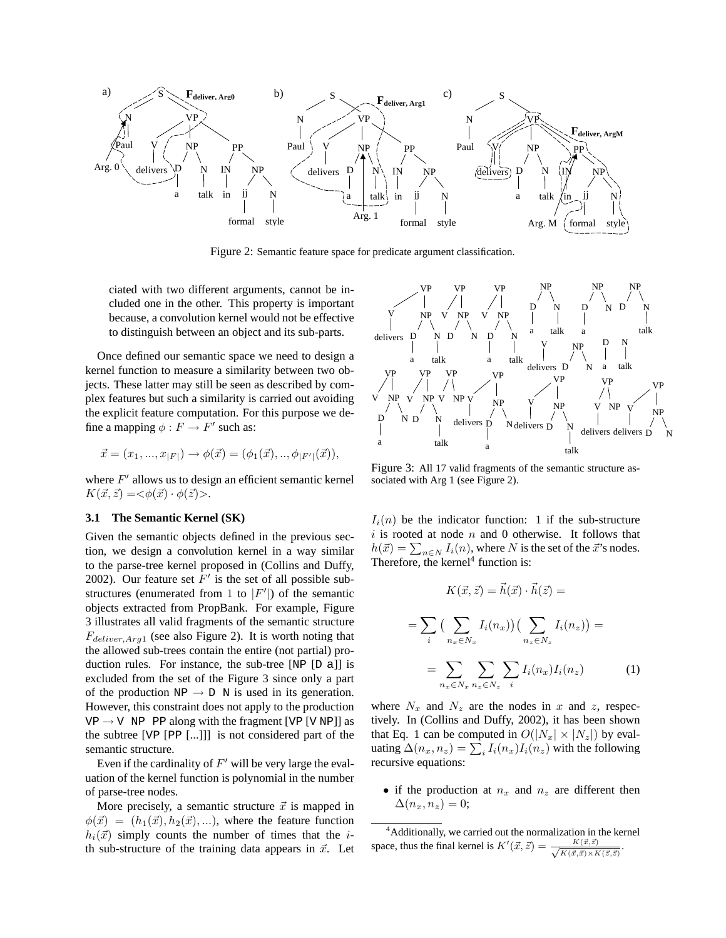

Figure 2: Semantic feature space for predicate argument classification.

ciated with two different arguments, cannot be included one in the other. This property is important because, a convolution kernel would not be effective to distinguish between an object and its sub-parts.

Once defined our semantic space we need to design a kernel function to measure a similarity between two objects. These latter may still be seen as described by complex features but such a similarity is carried out avoiding the explicit feature computation. For this purpose we define a mapping  $\phi : F \to F'$  such as:

$$
\vec{x} = (x_1, ..., x_{|F|}) \rightarrow \phi(\vec{x}) = (\phi_1(\vec{x}), ..., \phi_{|F'|}(\vec{x})),
$$

where  $F'$  allows us to design an efficient semantic kernel  $K(\vec{x}, \vec{z}) = \langle \phi(\vec{x}) \cdot \phi(\vec{z}) \rangle.$ 

#### **3.1 The Semantic Kernel (SK)**

Given the semantic objects defined in the previous section, we design a convolution kernel in a way similar to the parse-tree kernel proposed in (Collins and Duffy, 2002). Our feature set  $F'$  is the set of all possible substructures (enumerated from 1 to  $|F'|$ ) of the semantic objects extracted from PropBank. For example, Figure 3 illustrates all valid fragments of the semantic structure  $F_{deliver, Arg1}$  (see also Figure 2). It is worth noting that the allowed sub-trees contain the entire (not partial) production rules. For instance, the sub-tree [NP [D a]] is excluded from the set of the Figure 3 since only a part of the production  $NP \rightarrow D$  N is used in its generation. However, this constraint does not apply to the production  $VP \rightarrow V$  NP PP along with the fragment [VP [V NP]] as the subtree [VP [PP [...]]] is not considered part of the semantic structure.

Even if the cardinality of  $F'$  will be very large the evaluation of the kernel function is polynomial in the number of parse-tree nodes.

More precisely, a semantic structure  $\vec{x}$  is mapped in  $\phi(\vec{x}) = (h_1(\vec{x}), h_2(\vec{x}), \ldots)$ , where the feature function  $h_i(\vec{x})$  simply counts the number of times that the *i*th sub-structure of the training data appears in  $\vec{x}$ . Let



Figure 3: All 17 valid fragments of the semantic structure associated with Arg 1 (see Figure 2).

 $I_i(n)$  be the indicator function: 1 if the sub-structure  $i$  is rooted at node  $n$  and 0 otherwise. It follows that h( $\vec{x}$ ) =  $\sum_{n \in N} I_i(n)$ , where N is the set of the  $\vec{x}$ 's nodes. Therefore, the kernel $4$  function is:

$$
K(\vec{x}, \vec{z}) = \vec{h}(\vec{x}) \cdot \vec{h}(\vec{z}) =
$$

$$
= \sum_{i} \left( \sum_{n_x \in N_x} I_i(n_x) \right) \left( \sum_{n_z \in N_z} I_i(n_z) \right) =
$$

$$
= \sum_{n_x \in N_x} \sum_{n_z \in N_z} \sum_{i} I_i(n_x) I_i(n_z) \tag{1}
$$

 $\rightarrow$  .

where  $N_x$  and  $N_z$  are the nodes in x and z, respectively. In (Collins and Duffy, 2002), it has been shown that Eq. 1 can be computed in  $O(|N_x| \times |N_z|)$  by evaluating  $\Delta(n_x, n_z) = \sum_i I_i(n_x) I_i(n_z)$  with the following recursive equations:

• if the production at  $n_x$  and  $n_z$  are different then  $\Delta(n_r, n_z) = 0;$ 

<sup>&</sup>lt;sup>4</sup>Additionally, we carried out the normalization in the kernel space, thus the final kernel is  $K'(\vec{x}, \vec{z}) = \frac{K(\vec{x}, \vec{z})}{\sqrt{K(\vec{x}, \vec{x}) \times K(\vec{z}, \vec{z})}}$ .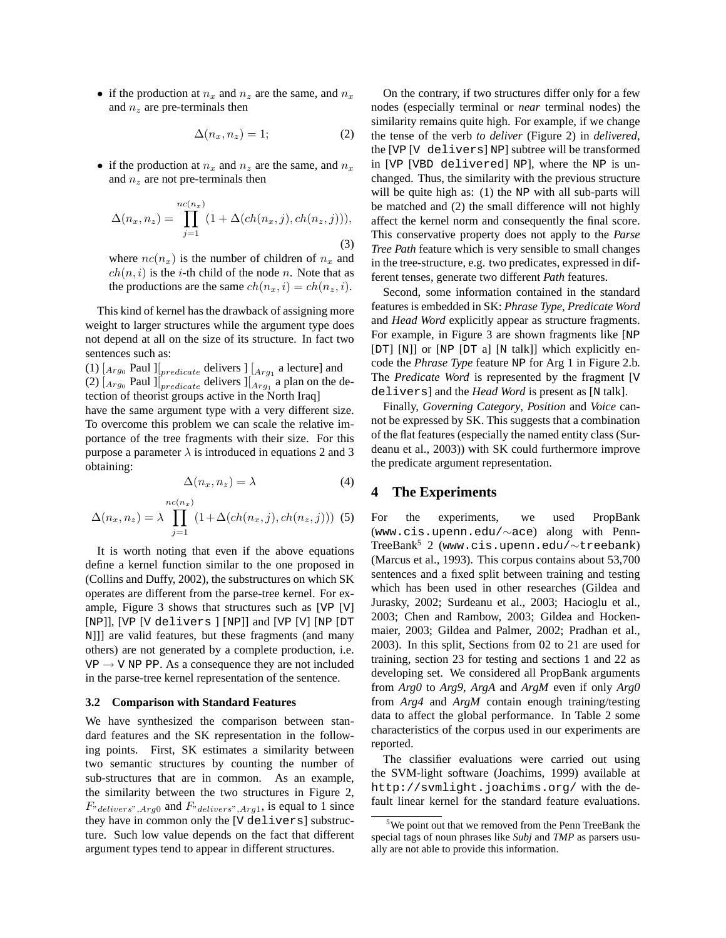• if the production at  $n_x$  and  $n_z$  are the same, and  $n_x$ and  $n_z$  are pre-terminals then

$$
\Delta(n_x, n_z) = 1; \tag{2}
$$

• if the production at  $n_x$  and  $n_z$  are the same, and  $n_x$ and  $n<sub>z</sub>$  are not pre-terminals then

$$
\Delta(n_x, n_z) = \prod_{j=1}^{nc(n_x)} (1 + \Delta(ch(n_x, j), ch(n_z, j))),
$$
\n(3)

where  $nc(n_x)$  is the number of children of  $n_x$  and  $ch(n, i)$  is the *i*-th child of the node *n*. Note that as the productions are the same  $ch(n_x, i) = ch(n_z, i)$ .

This kind of kernel has the drawback of assigning more weight to larger structures while the argument type does not depend at all on the size of its structure. In fact two sentences such as:

(1)  $\left[_{Arg_0}$  Paul  $\right] \left[_{predicate}$  delivers  $\right] \left[_{Arg_1}$  a lecture] and (2)  $\left[Arg_0$  Paul  $\right] \left[int_{predicate}$  delivers  $\left] \left[Arg_1$  a plan on the detection of theorist groups active in the North Iraq]

have the same argument type with a very different size. To overcome this problem we can scale the relative importance of the tree fragments with their size. For this purpose a parameter  $\lambda$  is introduced in equations 2 and 3 obtaining:

$$
\Delta(n_x, n_z) = \lambda \tag{4}
$$

$$
\Delta(n_x, n_z) = \lambda \prod_{j=1}^{nc(n_x)} (1 + \Delta(ch(n_x, j), ch(n_z, j))) \tag{5}
$$

It is worth noting that even if the above equations define a kernel function similar to the one proposed in (Collins and Duffy, 2002), the substructures on which SK operates are different from the parse-tree kernel. For example, Figure 3 shows that structures such as [VP [V] [NP]], [VP [V delivers ] [NP]] and [VP [V] [NP [DT N]]] are valid features, but these fragments (and many others) are not generated by a complete production, i.e.  $VP \rightarrow VP$  PP. As a consequence they are not included in the parse-tree kernel representation of the sentence.

#### **3.2 Comparison with Standard Features**

We have synthesized the comparison between standard features and the SK representation in the following points. First, SK estimates a similarity between two semantic structures by counting the number of sub-structures that are in common. As an example, the similarity between the two structures in Figure 2,  $F_{rdelivers}$ ,  $Arg0$  and  $F_{rdelivers}$ ,  $Arg1$ , is equal to 1 since they have in common only the [V delivers] substructure. Such low value depends on the fact that different argument types tend to appear in different structures.

On the contrary, if two structures differ only for a few nodes (especially terminal or *near* terminal nodes) the similarity remains quite high. For example, if we change the tense of the verb *to deliver* (Figure 2) in *delivered*, the [VP [V delivers] NP] subtree will be transformed in [VP [VBD delivered] NP], where the NP is unchanged. Thus, the similarity with the previous structure will be quite high as: (1) the NP with all sub-parts will be matched and (2) the small difference will not highly affect the kernel norm and consequently the final score. This conservative property does not apply to the *Parse Tree Path* feature which is very sensible to small changes in the tree-structure, e.g. two predicates, expressed in different tenses, generate two different *Path* features.

Second, some information contained in the standard features is embedded in SK: *Phrase Type*, *Predicate Word* and *Head Word* explicitly appear as structure fragments. For example, in Figure 3 are shown fragments like [NP [DT] [N]] or [NP [DT a] [N talk]] which explicitly encode the *Phrase Type* feature NP for Arg 1 in Figure 2.b. The *Predicate Word* is represented by the fragment [V delivers] and the *Head Word* is present as [N talk].

Finally, *Governing Category*, *Position* and *Voice* cannot be expressed by SK. This suggests that a combination of the flat features (especially the named entity class (Surdeanu et al., 2003)) with SK could furthermore improve the predicate argument representation.

### **4 The Experiments**

For the experiments, we used PropBank (www.cis.upenn.edu/∼ace) along with Penn-TreeBank<sup>5</sup> 2 (www.cis.upenn.edu/∼treebank) (Marcus et al., 1993). This corpus contains about 53,700 sentences and a fixed split between training and testing which has been used in other researches (Gildea and Jurasky, 2002; Surdeanu et al., 2003; Hacioglu et al., 2003; Chen and Rambow, 2003; Gildea and Hockenmaier, 2003; Gildea and Palmer, 2002; Pradhan et al., 2003). In this split, Sections from 02 to 21 are used for training, section 23 for testing and sections 1 and 22 as developing set. We considered all PropBank arguments from *Arg0* to *Arg9*, *ArgA* and *ArgM* even if only *Arg0* from *Arg4* and *ArgM* contain enough training/testing data to affect the global performance. In Table 2 some characteristics of the corpus used in our experiments are reported.

The classifier evaluations were carried out using the SVM-light software (Joachims, 1999) available at http://svmlight.joachims.org/ with the default linear kernel for the standard feature evaluations.

<sup>5</sup>We point out that we removed from the Penn TreeBank the special tags of noun phrases like *Subj* and *TMP* as parsers usually are not able to provide this information.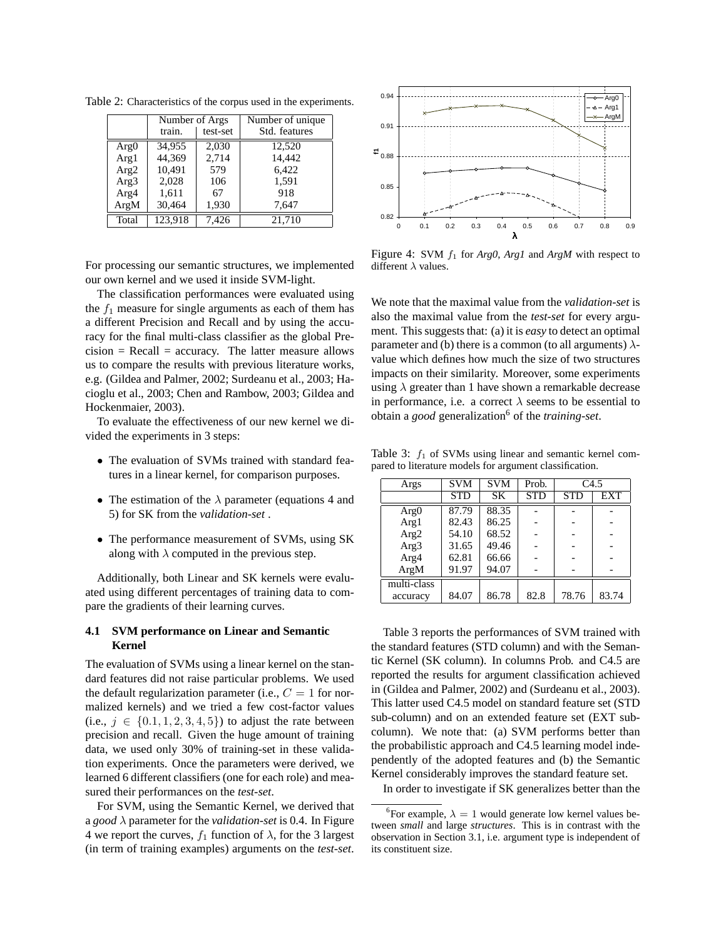|                  | Number of Args |          | Number of unique. |  |
|------------------|----------------|----------|-------------------|--|
|                  | train.         | test-set | Std. features     |  |
| Arg <sub>0</sub> | 34.955         | 2,030    | 12.520            |  |
| Arg1             | 44,369         | 2,714    | 14,442            |  |
| Arg2             | 10,491         | 579      | 6,422             |  |
| Arg3             | 2.028          | 106      | 1.591             |  |
| Arg4             | 1,611          | 67       | 918               |  |
| ArgM             | 30,464         | 1,930    | 7,647             |  |
| Total            | 123.918        | 7.426    | 21.710            |  |

Table 2: Characteristics of the corpus used in the experiments.

For processing our semantic structures, we implemented our own kernel and we used it inside SVM-light.

The classification performances were evaluated using the  $f_1$  measure for single arguments as each of them has a different Precision and Recall and by using the accuracy for the final multi-class classifier as the global Pre $cision = Recall = accuracy.$  The latter measure allows us to compare the results with previous literature works, e.g. (Gildea and Palmer, 2002; Surdeanu et al., 2003; Hacioglu et al., 2003; Chen and Rambow, 2003; Gildea and Hockenmaier, 2003).

To evaluate the effectiveness of our new kernel we divided the experiments in 3 steps:

- The evaluation of SVMs trained with standard features in a linear kernel, for comparison purposes.
- The estimation of the  $\lambda$  parameter (equations 4 and 5) for SK from the *validation-set* .
- The performance measurement of SVMs, using SK along with  $\lambda$  computed in the previous step.

Additionally, both Linear and SK kernels were evaluated using different percentages of training data to compare the gradients of their learning curves.

### **4.1 SVM performance on Linear and Semantic Kernel**

The evaluation of SVMs using a linear kernel on the standard features did not raise particular problems. We used the default regularization parameter (i.e.,  $C = 1$  for normalized kernels) and we tried a few cost-factor values (i.e.,  $j \in \{0.1, 1, 2, 3, 4, 5\}$ ) to adjust the rate between precision and recall. Given the huge amount of training data, we used only 30% of training-set in these validation experiments. Once the parameters were derived, we learned 6 different classifiers (one for each role) and measured their performances on the *test-set*.

For SVM, using the Semantic Kernel, we derived that a *good* λ parameter for the *validation-set* is 0.4. In Figure 4 we report the curves,  $f_1$  function of  $\lambda$ , for the 3 largest (in term of training examples) arguments on the *test-set*.



Figure 4: SVM f<sup>1</sup> for *Arg0*, *Arg1* and *ArgM* with respect to different  $\lambda$  values.

We note that the maximal value from the *validation-set* is also the maximal value from the *test-set* for every argument. This suggests that: (a) it is *easy* to detect an optimal parameter and (b) there is a common (to all arguments)  $\lambda$ value which defines how much the size of two structures impacts on their similarity. Moreover, some experiments using  $\lambda$  greater than 1 have shown a remarkable decrease in performance, i.e. a correct  $\lambda$  seems to be essential to obtain a *good* generalization<sup>6</sup> of the *training-set*.

Table 3:  $f_1$  of SVMs using linear and semantic kernel compared to literature models for argument classification.

| Args             | <b>SVM</b> | <b>SVM</b> | Prob.      | C4.5       |       |
|------------------|------------|------------|------------|------------|-------|
|                  | <b>STD</b> | <b>SK</b>  | <b>STD</b> | <b>STD</b> | EXT   |
| Arg <sub>0</sub> | 87.79      | 88.35      |            |            |       |
| Arg1             | 82.43      | 86.25      |            |            |       |
| Arg2             | 54.10      | 68.52      |            |            |       |
| Arg3             | 31.65      | 49.46      |            |            |       |
| Arg4             | 62.81      | 66.66      |            |            |       |
| ArgM             | 91.97      | 94.07      |            |            |       |
| multi-class      |            |            |            |            |       |
| accuracy         | 84.07      | 86.78      | 82.8       | 78.76      | 83.74 |

Table 3 reports the performances of SVM trained with the standard features (STD column) and with the Semantic Kernel (SK column). In columns Prob. and C4.5 are reported the results for argument classification achieved in (Gildea and Palmer, 2002) and (Surdeanu et al., 2003). This latter used C4.5 model on standard feature set (STD sub-column) and on an extended feature set (EXT subcolumn). We note that: (a) SVM performs better than the probabilistic approach and C4.5 learning model independently of the adopted features and (b) the Semantic Kernel considerably improves the standard feature set.

In order to investigate if SK generalizes better than the

<sup>&</sup>lt;sup>6</sup>For example,  $\lambda = 1$  would generate low kernel values between *small* and large *structures*. This is in contrast with the observation in Section 3.1, i.e. argument type is independent of its constituent size.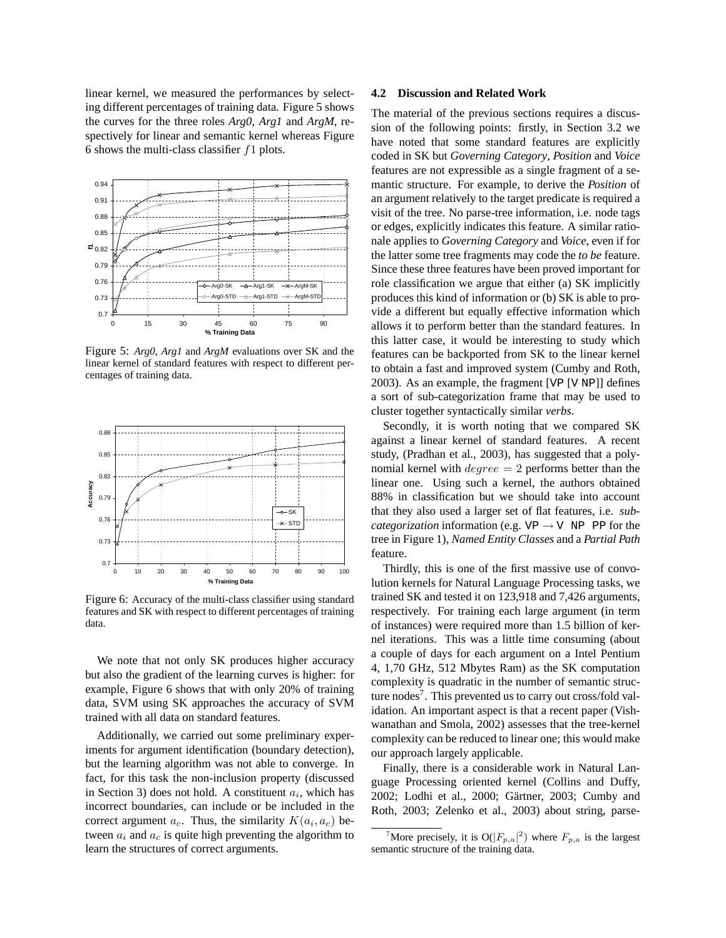linear kernel, we measured the performances by selecting different percentages of training data. Figure 5 shows the curves for the three roles *Arg0*, *Arg1* and *ArgM*, respectively for linear and semantic kernel whereas Figure 6 shows the multi-class classifier  $f1$  plots.



Figure 5: *Arg0*, *Arg1* and *ArgM* evaluations over SK and the linear kernel of standard features with respect to different percentages of training data.



Figure 6: Accuracy of the multi-class classifier using standard features and SK with respect to different percentages of training data.

We note that not only SK produces higher accuracy but also the gradient of the learning curves is higher: for example, Figure 6 shows that with only 20% of training data, SVM using SK approaches the accuracy of SVM trained with all data on standard features.

Additionally, we carried out some preliminary experiments for argument identification (boundary detection), but the learning algorithm was not able to converge. In fact, for this task the non-inclusion property (discussed in Section 3) does not hold. A constituent  $a_i$ , which has incorrect boundaries, can include or be included in the correct argument  $a_c$ . Thus, the similarity  $K(a_i, a_c)$  between  $a_i$  and  $a_c$  is quite high preventing the algorithm to learn the structures of correct arguments.

#### **4.2 Discussion and Related Work**

The material of the previous sections requires a discussion of the following points: firstly, in Section 3.2 we have noted that some standard features are explicitly coded in SK but *Governing Category*, *Position* and *Voice* features are not expressible as a single fragment of a semantic structure. For example, to derive the *Position* of an argument relatively to the target predicate is required a visit of the tree. No parse-tree information, i.e. node tags or edges, explicitly indicates this feature. A similar rationale applies to *Governing Category* and *Voice*, even if for the latter some tree fragments may code the *to be* feature. Since these three features have been proved important for role classification we argue that either (a) SK implicitly produces this kind of information or (b) SK is able to provide a different but equally effective information which allows it to perform better than the standard features. In this latter case, it would be interesting to study which features can be backported from SK to the linear kernel to obtain a fast and improved system (Cumby and Roth, 2003). As an example, the fragment [VP [V NP]] defines a sort of sub-categorization frame that may be used to cluster together syntactically similar *verbs*.

Secondly, it is worth noting that we compared SK against a linear kernel of standard features. A recent study, (Pradhan et al., 2003), has suggested that a polynomial kernel with  $degree = 2$  performs better than the linear one. Using such a kernel, the authors obtained 88% in classification but we should take into account that they also used a larger set of flat features, i.e. *subcategorization* information (e.g.  $VP \rightarrow V$  NP PP for the tree in Figure 1), *Named Entity Classes* and a *Partial Path* feature.

Thirdly, this is one of the first massive use of convolution kernels for Natural Language Processing tasks, we trained SK and tested it on 123,918 and 7,426 arguments, respectively. For training each large argument (in term of instances) were required more than 1.5 billion of kernel iterations. This was a little time consuming (about a couple of days for each argument on a Intel Pentium 4, 1,70 GHz, 512 Mbytes Ram) as the SK computation complexity is quadratic in the number of semantic structure nodes<sup>7</sup>. This prevented us to carry out cross/fold validation. An important aspect is that a recent paper (Vishwanathan and Smola, 2002) assesses that the tree-kernel complexity can be reduced to linear one; this would make our approach largely applicable.

Finally, there is a considerable work in Natural Language Processing oriented kernel (Collins and Duffy, 2002; Lodhi et al., 2000; Gärtner, 2003; Cumby and Roth, 2003; Zelenko et al., 2003) about string, parse-

<sup>&</sup>lt;sup>7</sup>More precisely, it is  $O(|F_{p,a}|^2)$  where  $F_{p,a}$  is the largest semantic structure of the training data.